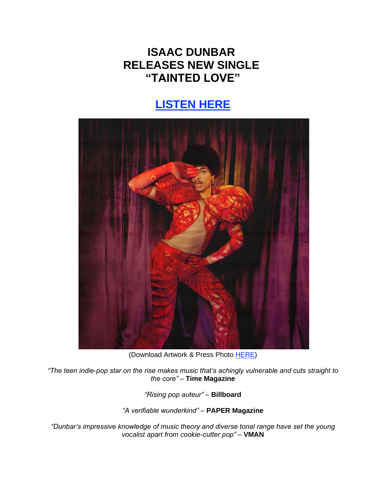## **ISAAC DUNBAR RELEASES NEW SINGLE "TAINTED LOVE"**

## **[LISTEN HERE](https://eur01.safelinks.protection.outlook.com/?url=https%3A%2F%2Fisaacdunbar.lnk.to%2FTaintedLove&data=04%7C01%7Cnoelle.janasiewicz.sme%40sonymusic.com%7C15afb097f28947684e3808da13efa11f%7Cf0aff3b791a54aaeaf71c63e1dda2049%7C0%7C0%7C637844217192539345%7CUnknown%7CTWFpbGZsb3d8eyJWIjoiMC4wLjAwMDAiLCJQIjoiV2luMzIiLCJBTiI6Ik1haWwiLCJXVCI6Mn0%3D%7C3000&sdata=HJdGzK%2Bxnd3zBhcC5qIL43Qg4xhDM6xGvvyDsij3mN4%3D&reserved=0)**



(Download Artwork & Press Photo [HERE\)](https://eur01.safelinks.protection.outlook.com/?url=https%3A%2F%2Fbit.ly%2F3tVGzOc&data=04%7C01%7Cnoelle.janasiewicz.sme%40sonymusic.com%7C15afb097f28947684e3808da13efa11f%7Cf0aff3b791a54aaeaf71c63e1dda2049%7C0%7C0%7C637844217192539345%7CUnknown%7CTWFpbGZsb3d8eyJWIjoiMC4wLjAwMDAiLCJQIjoiV2luMzIiLCJBTiI6Ik1haWwiLCJXVCI6Mn0%3D%7C3000&sdata=Y2eq08BI8LlWI3GQXaBTdsGtcXsQwvW0fzO24kJPQjE%3D&reserved=0)

*"The teen indie-pop star on the rise makes music that's achingly vulnerable and cuts straight to the core"* – **Time Magazine**

*"Rising pop auteur"* – **Billboard**

*"A verifiable wunderkind"* – **PAPER Magazine**

*"Dunbar's impressive knowledge of music theory and diverse tonal range have set the young vocalist apart from cookie-cutter pop"* – **VMAN**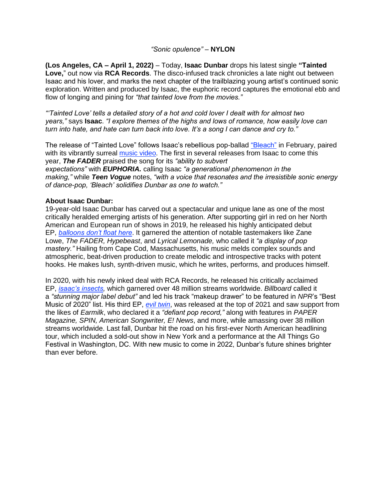## *"Sonic opulence"* – **NYLON**

**(Los Angeles, CA – April 1, 2022)** – Today, **Isaac Dunbar** drops his latest single **"Tainted Love,**" out now via **RCA Records**. The disco-infused track chronicles a late night out between Isaac and his lover, and marks the next chapter of the trailblazing young artist's continued sonic exploration. Written and produced by Isaac, the euphoric record captures the emotional ebb and flow of longing and pining for *"that tainted love from the movies."*

*"'Tainted Love' tells a detailed story of a hot and cold lover I dealt with for almost two years,"* says **Isaac**. *"I explore themes of the highs and lows of romance, how easily love can turn into hate, and hate can turn back into love. It's a song I can dance and cry to."*

The release of "Tainted Love" follows Isaac's rebellious pop-ballad ["Bleach"](https://eur01.safelinks.protection.outlook.com/?url=https%3A%2F%2Fisaacdunbar.lnk.to%2FBleach&data=04%7C01%7Cnoelle.janasiewicz.sme%40sonymusic.com%7C15afb097f28947684e3808da13efa11f%7Cf0aff3b791a54aaeaf71c63e1dda2049%7C0%7C0%7C637844217192539345%7CUnknown%7CTWFpbGZsb3d8eyJWIjoiMC4wLjAwMDAiLCJQIjoiV2luMzIiLCJBTiI6Ik1haWwiLCJXVCI6Mn0%3D%7C3000&sdata=4NJ%2B6OeFujOzMLgL1L%2Fie6QeMRHtPI4wmvc8SHzt1yE%3D&reserved=0) in February, paired with its vibrantly surreal [music video.](https://eur01.safelinks.protection.outlook.com/?url=https%3A%2F%2Fisaacdunbar.lnk.to%2FBleach%2Fyoutube&data=04%7C01%7Cnoelle.janasiewicz.sme%40sonymusic.com%7C15afb097f28947684e3808da13efa11f%7Cf0aff3b791a54aaeaf71c63e1dda2049%7C0%7C0%7C637844217192539345%7CUnknown%7CTWFpbGZsb3d8eyJWIjoiMC4wLjAwMDAiLCJQIjoiV2luMzIiLCJBTiI6Ik1haWwiLCJXVCI6Mn0%3D%7C3000&sdata=vudyUVZcupSiPDp9oUHv0cGoUTIF8Hbdd%2FJq87gFG1g%3D&reserved=0) The first in several releases from Isaac to come this year, *The FADER* praised the song for its *"ability to subvert expectations"* with *EUPHORIA.* calling Isaac *"a generational phenomenon in the making,"* while *Teen Vogue* notes, *"with a voice that resonates and the irresistible sonic energy of dance-pop, 'Bleach' solidifies Dunbar as one to watch."*

## **About Isaac Dunbar:**

19-year-old Isaac Dunbar has carved out a spectacular and unique lane as one of the most critically heralded emerging artists of his generation. After supporting girl in red on her North American and European run of shows in 2019, he released his highly anticipated debut EP, *[balloons don't float here](https://eur01.safelinks.protection.outlook.com/?url=https%3A%2F%2Fopen.spotify.com%2Falbum%2F4Qb82ieP4gzGzJiRnUNYyw&data=04%7C01%7Cnoelle.janasiewicz.sme%40sonymusic.com%7C15afb097f28947684e3808da13efa11f%7Cf0aff3b791a54aaeaf71c63e1dda2049%7C0%7C0%7C637844217192539345%7CUnknown%7CTWFpbGZsb3d8eyJWIjoiMC4wLjAwMDAiLCJQIjoiV2luMzIiLCJBTiI6Ik1haWwiLCJXVCI6Mn0%3D%7C3000&sdata=AvSYXpKL6HWZyqwX38KJHDj%2FOksCxD%2B2vLkB91DE%2B44%3D&reserved=0)*. It garnered the attention of notable tastemakers like Zane Lowe, *The FADER, Hypebeast*, and *Lyrical Lemonade,* who called it *"a display of pop mastery."* Hailing from Cape Cod, Massachusetts, his music melds complex sounds and atmospheric, beat-driven production to create melodic and introspective tracks with potent hooks. He makes lush, synth-driven music, which he writes, performs, and produces himself.

In 2020, with his newly inked deal with RCA Records, he released his critically acclaimed EP, *[isaac's insects,](https://eur01.safelinks.protection.outlook.com/?url=https%3A%2F%2Fsmarturl.it%2FisaacsinsectsEPx&data=04%7C01%7Cnoelle.janasiewicz.sme%40sonymusic.com%7C15afb097f28947684e3808da13efa11f%7Cf0aff3b791a54aaeaf71c63e1dda2049%7C0%7C0%7C637844217192539345%7CUnknown%7CTWFpbGZsb3d8eyJWIjoiMC4wLjAwMDAiLCJQIjoiV2luMzIiLCJBTiI6Ik1haWwiLCJXVCI6Mn0%3D%7C3000&sdata=j%2BDLixktzS1XtlVLKaT%2Fn9hKVph%2FUT3O80tJ2aUIBuU%3D&reserved=0)* which garnered over 48 million streams worldwide. *Billboard* called it a *"stunning major label debut"* and led his track "makeup drawer" to be featured in *NPR*'s "Best Music of 2020" list. His third EP, *[evil twin](https://eur01.safelinks.protection.outlook.com/?url=https%3A%2F%2Fsmarturl.it%2Fxeviltwin&data=04%7C01%7Cnoelle.janasiewicz.sme%40sonymusic.com%7C15afb097f28947684e3808da13efa11f%7Cf0aff3b791a54aaeaf71c63e1dda2049%7C0%7C0%7C637844217192539345%7CUnknown%7CTWFpbGZsb3d8eyJWIjoiMC4wLjAwMDAiLCJQIjoiV2luMzIiLCJBTiI6Ik1haWwiLCJXVCI6Mn0%3D%7C3000&sdata=z8meU96dAHIKzobUY%2Bj4sUdvoOs2wxlIN%2F5PEWlaNcQ%3D&reserved=0)*, was released at the top of 2021 and saw support from the likes of *Earmilk*, who declared it a *"defiant pop record,"* along with features in *PAPER Magazine, SPIN, American Songwriter, E! News*, and more, while amassing over 38 million streams worldwide. Last fall, Dunbar hit the road on his first-ever North American headlining tour, which included a sold-out show in New York and a performance at the All Things Go Festival in Washington, DC. With new music to come in 2022, Dunbar's future shines brighter than ever before.